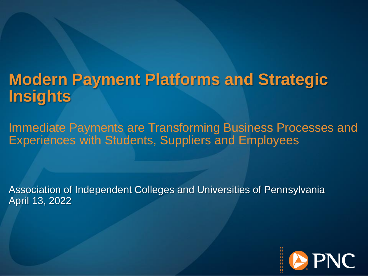## **Modern Payment Platforms and Strategic Insights**

Immediate Payments are Transforming Business Processes and Experiences with Students, Suppliers and Employees

Association of Independent Colleges and Universities of Pennsylvania April 13, 2022

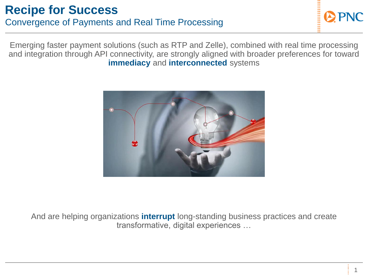Emerging faster payment solutions (such as RTP and Zelle), combined with real time processing and integration through API connectivity, are strongly aligned with broader preferences for toward **immediacy** and **interconnected** systems



And are helping organizations **interrupt** long-standing business practices and create transformative, digital experiences …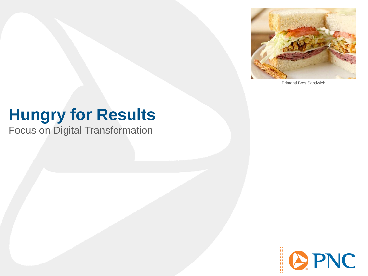

Primanti Bros Sandwich

# **Hungry for Results**

Focus on Digital Transformation

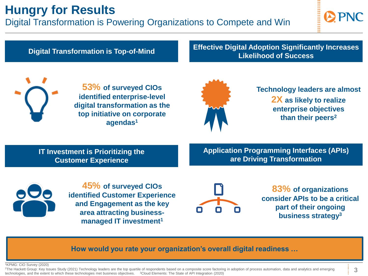## **Hungry for Results**

Digital Transformation is Powering Organizations to Compete and Win



**Digital Transformation is Top-of-Mind** 

#### **Effective Digital Adoption Significantly Increases Likelihood of Success**



**53% of surveyed CIOs identified enterprise-level digital transformation as the top initiative on corporate agendas<sup>1</sup>**



**Technology leaders are almost 2X as likely to realize enterprise objectives than their peers<sup>2</sup>**

**IT Investment is Prioritizing the Customer Experience**

**Application Programming Interfaces (APIs) are Driving Transformation**



**45% of surveyed CIOs identified Customer Experience and Engagement as the key area attracting businessmanaged IT investment<sup>1</sup>**



**83% of organizations consider APIs to be a critical part of their ongoing business strategy<sup>3</sup>**

**How would you rate your organization's overall digital readiness …**

<sup>1</sup>KPMG: CIO Survey (2020)

<sup>2</sup>The Hackett Group: Key Issues Study (2021) Technology leaders are the top quartile of respondents based on a composite score factoring in adoption of process automation, data and analytics and emerging technologies, and the extent to which these technologies met business objectives. <sup>3</sup>Cloud Elements: The State of API Integration (2020)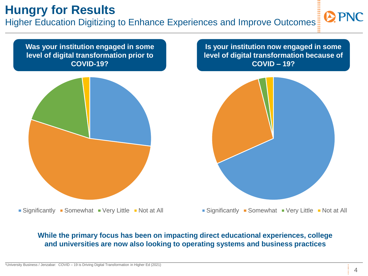## **Hungry for Results**

Higher Education Digitizing to Enhance Experiences and Improve Outcomes

**Was your institution engaged in some level of digital transformation prior to COVID-19?**



**Is your institution now engaged in some level of digital transformation because of COVID – 19?**



 $\blacksquare$  Significantly  $\blacksquare$  Somewhat  $\blacksquare$  Very Little  $\blacksquare$  Not at All

 $\blacksquare$  Significantly  $\blacksquare$  Somewhat  $\blacksquare$  Very Little  $\blacksquare$  Not at All

#### **While the primary focus has been on impacting direct educational experiences, college and universities are now also looking to operating systems and business practices**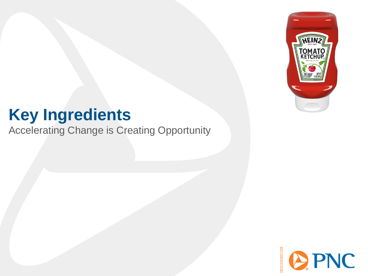

## **Key Ingredients**

Accelerating Change is Creating Opportunity

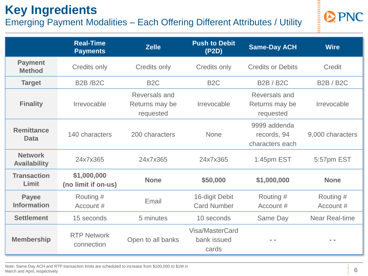## **Key Ingredients**

### Emerging Payment Modalities – Each Offering Different Attributes / Utility



|                                       | <b>Real-Time</b><br><b>Payments</b> | <b>Zelle</b>                                 | <b>Push to Debit</b><br>(P2D)           | <b>Same-Day ACH</b>                            | <b>Wire</b>            |
|---------------------------------------|-------------------------------------|----------------------------------------------|-----------------------------------------|------------------------------------------------|------------------------|
| <b>Payment</b><br><b>Method</b>       | <b>Credits only</b>                 | Credits only                                 | Credits only                            | <b>Credits or Debits</b>                       | Credit                 |
| <b>Target</b>                         | <b>B2B/B2C</b>                      | B <sub>2</sub> C                             | B <sub>2</sub> C                        | <b>B2B/B2C</b>                                 | <b>B2B/B2C</b>         |
| <b>Finality</b>                       | Irrevocable                         | Reversals and<br>Returns may be<br>requested | Irrevocable                             | Reversals and<br>Returns may be<br>requested   | Irrevocable            |
| <b>Remittance</b><br><b>Data</b>      | 140 characters                      | 200 characters                               | None                                    | 9999 addenda<br>records, 94<br>characters each | 9,000 characters       |
| <b>Network</b><br><b>Availability</b> | 24x7x365                            | 24x7x365                                     | 24x7x365                                | 1:45pm EST                                     | 5:57pm EST             |
| <b>Transaction</b><br>Limit           | \$1,000,000<br>(no limit if on-us)  | <b>None</b>                                  | \$50,000                                | \$1,000,000                                    | <b>None</b>            |
| <b>Payee</b><br><b>Information</b>    | Routing #<br>Account #              | Email                                        | 16-digit Debit<br><b>Card Number</b>    | Routing #<br>Account #                         | Routing #<br>Account # |
| <b>Settlement</b>                     | 15 seconds                          | 5 minutes                                    | 10 seconds                              | Same Day                                       | <b>Near Real-time</b>  |
| <b>Membership</b>                     | <b>RTP Network</b><br>connection    | Open to all banks                            | Visa/MasterCard<br>bank issued<br>cards |                                                | - -                    |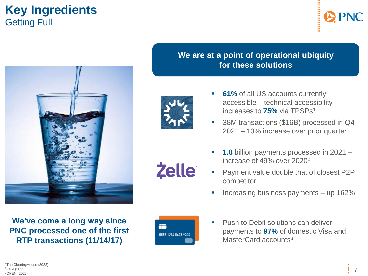### **Key Ingredients** Getting Full





**We've come a long way since PNC processed one of the first RTP transactions (11/14/17)**

### **We are at a point of operational ubiquity for these solutions**



**Zelle** 

- **61%** of all US accounts currently accessible – technical accessibility increases to **75%** via TPSPs<sup>1</sup>
- 38M transactions (\$16B) processed in Q4 2021 – 13% increase over prior quarter
- **1.8** billion payments processed in 2021 increase of 49% over 2020<sup>2</sup>
- Payment value double that of closest P2P competitor
- Increasing business payments  $-$  up 162%



**Push to Debit solutions can deliver** payments to **97%** of domestic Visa and MasterCard accounts<sup>3</sup>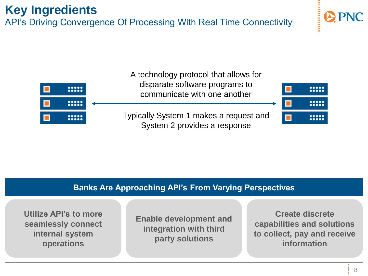

### **Banks Are Approaching API's From Varying Perspectives**

**Utilize API's to more seamlessly connect internal system operations**

**Enable development and integration with third party solutions**

**Create discrete capabilities and solutions to collect, pay and receive information**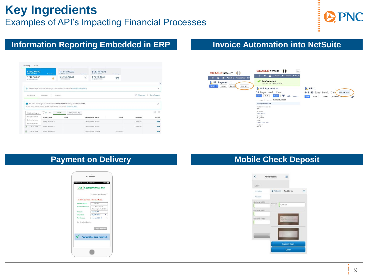### **Key Ingredients** Examples of API's Impacting Financial Processes

**SESSION** 

### **Information Reporting Embedded in ERP**

| \$160,000,00<br><b>BANK BALANCE</b>              | Moments son        | \$-6,069,900.00<br><b>BANK RALANCE</b>                                                                           | Monarity app | \$1,633,873.95<br><b>BANK BALANCE</b> | Monwrite appt |             |                             |
|--------------------------------------------------|--------------------|------------------------------------------------------------------------------------------------------------------|--------------|---------------------------------------|---------------|-------------|-----------------------------|
| \$240,000.00<br>IN QUICKBOOKS                    | 6                  | \$-6,069,900.00<br>IN QUICKBOOKS                                                                                 | a            | \$-424,528.69<br>IN QUICKBOOKS        | 12            |             |                             |
|                                                  |                    |                                                                                                                  |              |                                       |               |             | $\hat{\phantom{a}}$         |
| Θ                                                |                    | Take a shortcut! Discover all the ways you can save time in QuickBooks. It's all in this video (2:45s)           |              |                                       |               |             | $\times$                    |
|                                                  |                    |                                                                                                                  |              |                                       |               |             |                             |
|                                                  |                    | We were able to get transactions from ZZ-CCNP-NEW starting from 03/11/2019.                                      |              |                                       |               |             | $\times$                    |
| Batch actions                                    | ▽▼<br>All          | You can match items to existing records or add them as new records. Need more data?<br>All (6)<br>Recognized (0) |              |                                       |               |             | a.                          |
| Accept Selected                                  | DESCRIPTION        | PAYEE                                                                                                            |              | CATEGORY OR MATCH                     | SPENT         | RECEIVED    |                             |
| $\bullet$<br>Exclude Selected<br>Modify Selected | Money Transfer Cr. |                                                                                                                  |              | Uncategorized Income                  |               | \$25,000.00 | (6)<br><b>ACTION</b><br>Add |

#### **Invoice Automation into NetSuite**



#### **Payment on Delivery**

|                      | Find Anather Receiver?                  |
|----------------------|-----------------------------------------|
|                      | ! Confirm payment prior to delivery.    |
| <b>Receiver Name</b> | XY Zystems                              |
| Receiver Address     | 123 West Street<br>Pittsburgh, PA 15222 |
| Amount               | 10,500.00                               |
| Value Date           | 06/04/2019<br>w                         |
| Remittance           | Invoice #12345                          |
|                      | Send Request                            |

#### **Mobile Check Deposit**

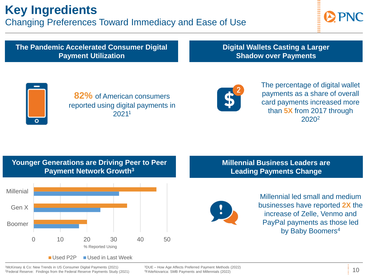## **Key Ingredients**

Changing Preferences Toward Immediacy and Ease of Use



**The Pandemic Accelerated Consumer Digital Payment Utilization**

**Digital Wallets Casting a Larger Shadow over Payments**



**82%** of American consumers reported using digital payments in 2021<sup>1</sup>



The percentage of digital wallet payments as a share of overall card payments increased more than **5X** from 2017 through 2020<sup>2</sup>

#### **Younger Generations are Driving Peer to Peer Payment Network Growth<sup>3</sup>**



**Millennial Business Leaders are Leading Payments Change** 



Millennial led small and medium businesses have reported **2X** the increase of Zelle, Venmo and PayPal payments as those led by Baby Boomers<sup>4</sup>

<sup>1</sup>McKinsey & Co: New Trends in US Consumer Digital Payments (2021) <sup>2</sup>Federal Reserve: Findings from the Federal Reserve Payments Study (2021)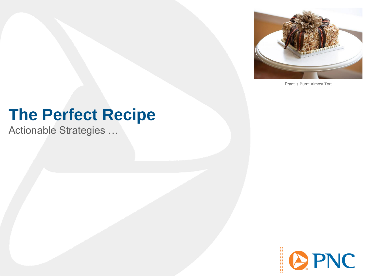

Prantl's Burnt Almost Tort

## **The Perfect Recipe**

Actionable Strategies …

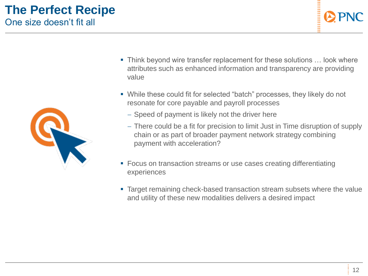### **The Perfect Recipe** One size doesn't fit all



- **Think beyond wire transfer replacement for these solutions ... look where** attributes such as enhanced information and transparency are providing value
- While these could fit for selected "batch" processes, they likely do not resonate for core payable and payroll processes
	- − Speed of payment is likely not the driver here
	- − There could be a fit for precision to limit Just in Time disruption of supply chain or as part of broader payment network strategy combining payment with acceleration?
- Focus on transaction streams or use cases creating differentiating experiences
- Target remaining check-based transaction stream subsets where the value and utility of these new modalities delivers a desired impact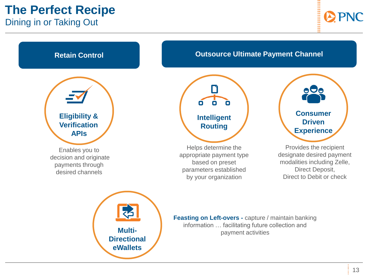## **The Perfect Recipe**

Dining in or Taking Out



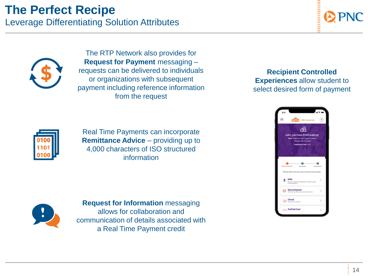# **The Perfect Recipe**

Leverage Differentiating Solution Attributes





The RTP Network also provides for **Request for Payment** messaging – requests can be delivered to individuals or organizations with subsequent payment including reference information from the request

Real Time Payments can incorporate **Remittance Advice** – providing up to 4,000 characters of ISO structured information





**Request for Information** messaging allows for collaboration and communication of details associated with a Real Time Payment credit

**Recipient Controlled Experiences** allow student to select desired form of payment

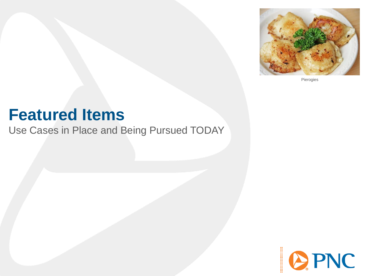

Pierogies

## **Featured Items**

Use Cases in Place and Being Pursued TODAY

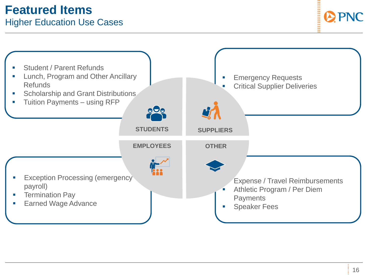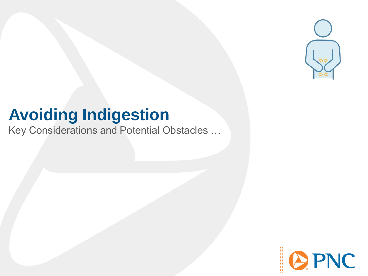

## **Avoiding Indigestion**

Key Considerations and Potential Obstacles …

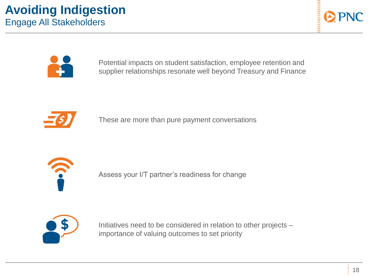



Potential impacts on student satisfaction, employee retention and supplier relationships resonate well beyond Treasury and Finance



These are more than pure payment conversations



Assess your I/T partner's readiness for change



Initiatives need to be considered in relation to other projects – importance of valuing outcomes to set priority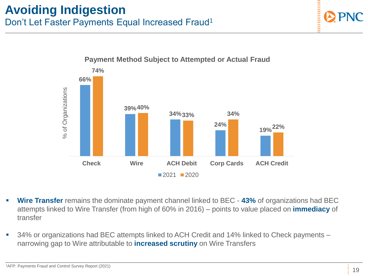### **Avoiding Indigestion** Don't Let Faster Payments Equal Increased Fraud<sup>1</sup>



- **Wire Transfer** remains the dominate payment channel linked to BEC **43%** of organizations had BEC attempts linked to Wire Transfer (from high of 60% in 2016) – points to value placed on **immediacy** of transfer
- 34% or organizations had BEC attempts linked to ACH Credit and 14% linked to Check payments narrowing gap to Wire attributable to **increased scrutiny** on Wire Transfers

#### 19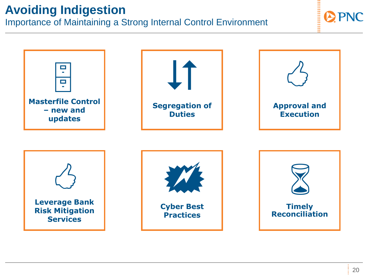## **Avoiding Indigestion**

Importance of Maintaining a Strong Internal Control Environment

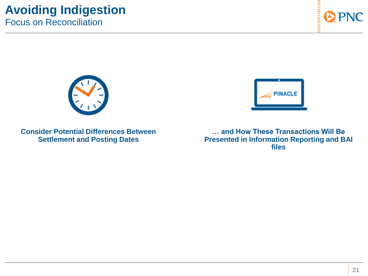### **Avoiding Indigestion** Focus on Reconciliation





**… and How These Transactions Will Be Presented in Information Reporting and BAI files**



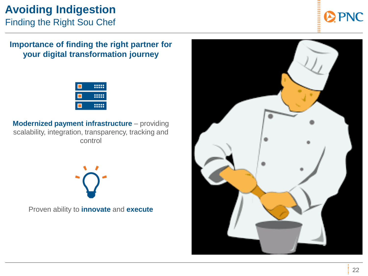### **Avoiding Indigestion** Finding the Right Sou Chef

### **Importance of finding the right partner for your digital transformation journey**



**Modernized payment infrastructure** – providing scalability, integration, transparency, tracking and control

Proven ability to **innovate** and **execute**

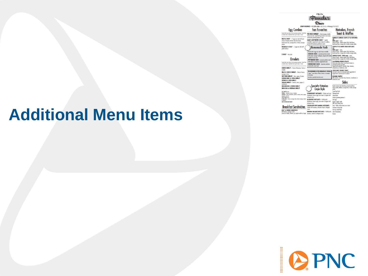|                                                                                                                                                                                                                                                                                    | <b>P&amp;G's</b>                                                                                                                                                                                                                                                                                                              |                                                                                                                                                                                                                                                                                                                                                                                        |  |
|------------------------------------------------------------------------------------------------------------------------------------------------------------------------------------------------------------------------------------------------------------------------------------|-------------------------------------------------------------------------------------------------------------------------------------------------------------------------------------------------------------------------------------------------------------------------------------------------------------------------------|----------------------------------------------------------------------------------------------------------------------------------------------------------------------------------------------------------------------------------------------------------------------------------------------------------------------------------------------------------------------------------------|--|
|                                                                                                                                                                                                                                                                                    | STRIP DISTRICT + 412.281.6366 - 60 21st St. + Pittsburgh, PA 15222                                                                                                                                                                                                                                                            |                                                                                                                                                                                                                                                                                                                                                                                        |  |
| <b>Egg Combos</b>                                                                                                                                                                                                                                                                  | <b>Fan Favorites</b>                                                                                                                                                                                                                                                                                                          | Hotcakes, French                                                                                                                                                                                                                                                                                                                                                                       |  |
| Served with your choice of our (poencies potatoes, French fries<br>as tomate slow. (Substitute built cap for more) & toest                                                                                                                                                         | TEX-MEX OMELET - Chaira sausan, cheddar                                                                                                                                                                                                                                                                                       | <b>Toast &amp; Waffles</b>                                                                                                                                                                                                                                                                                                                                                             |  |
| MEAT & EGGS* - 2 eggs any style with your<br>choice of double smaked, thick-slice boons,<br>hand-caved ham, sausage links or turkey souspan<br>porties                                                                                                                             | cheese and salsa, topped with quacanake & sour ceases,<br>smed with Lyoniese optatoes & toyst<br><b>GAIL'S FAVORITE EGGS*-Lighty</b><br>sonmbled, topped with cream cheese & scalibors.<br>served with Lyonnoise potatoes & tocat                                                                                             | PAMELA'S FAMOUS CREPE-STYLE HOTCAKI<br>(3)<br>With meat - exto<br>Choice of meet - double smaked, thick-sliced bacon,<br>hond-carved ham, sausage links or tuskey sausage patters                                                                                                                                                                                                      |  |
| KIELBASA & EGGS" - 2 eggs any style with<br>miled kiehma                                                                                                                                                                                                                           | ₹Homemade Hash                                                                                                                                                                                                                                                                                                                | <b>CREPE-STYLE SHORT STACK HOTCAKES</b><br>(2)<br>With meat - ceta                                                                                                                                                                                                                                                                                                                     |  |
| $2 EGGS^* - h\eta y y h$<br><b>Omelets</b><br>Served with your choica of our Lyankdise paticipan, Essay's friest<br>or tunoto sloss (Substitute fruit cap for moral & toest)                                                                                                       | Served with 2 eggs ony style & togst or torbles.<br><b>CHORIZO HASH - Lyonneise potatoes mixed</b><br>with chorizo sausage & ialapeno, topped with melted<br>chedder & sour cream<br>PITTSBURGH HASH - Lyomobe putation mixed<br>with kiedyze & soverkrayt, traped with Swiss<br><b>CORNED BEEF HASH - Lyonnoise potutoes</b> | Choice of meet - double smoked, thick-sliced bocon,<br>hondicarved hom, sausage links or turkey sausage potters<br>FRENCH TOAST With meat - colta<br>Onaice of meat - double smaked, fliidir skeed bacon,<br>hond-carved ham, sausage links or turkey sausage patters<br><b>CALIFORNIA FRENCH TOAST</b><br>Home-style whole wheat raisin bread dunked in<br>chnamon-vanillo egg batter |  |
| <b>CHEESE OMELET</b> - Choice of American, Swiss or<br>deddar<br><b>MEAT &amp; CHEESE OMELET</b> - Chrica of borns                                                                                                                                                                 | mixed with corned boat<br>THE MORNING AFTER BREAKFAST SPECIAL<br>2 eggs," your choice of hom, bocon, or sousoge                                                                                                                                                                                                               | Topped with wolnuts, chocolate chips, bananas,<br>structuries or blankeries extra<br><b>CROISSANT FRENCH TOAST</b><br>Coissant sooked in cinnamon-vanillo egg better &                                                                                                                                                                                                                 |  |
| strustoge er hom.<br>WESTERN OMELET - Ham, pepper, & orient<br>CORNED BEEF & SWISS OMELET                                                                                                                                                                                          | & hotcokes<br>ubcitute specially hotcokes extra                                                                                                                                                                                                                                                                               | topped with carattel sauce & walnuts<br><b>BELGIAN WAFFLE</b><br>With wellwis, chocolate chips, bananas, strawbenies<br>Nuebenier, awhy.                                                                                                                                                                                                                                               |  |
| SPINACH & FETA OMELET<br>VEGGIE OMELET - Tomato, onion, pepper, &<br>mohoore                                                                                                                                                                                                       |                                                                                                                                                                                                                                                                                                                               | Sides                                                                                                                                                                                                                                                                                                                                                                                  |  |
| <b>MUSHROOM &amp; CHEESE OMELET</b><br><b><i>BROCCOLI &amp; CHEDDAR OMELET</i></b>                                                                                                                                                                                                 | <b>Specialty Hotcakes</b><br>Crepe-Style                                                                                                                                                                                                                                                                                      | Double smaked, thick-slined bacon, hand-carved ham,<br>charize petties, Kelbese, seusage links or turkey sausage<br>ozties<br>Corned beef hosh                                                                                                                                                                                                                                         |  |
| <b>BGG WHITES more</b><br><b>ONEESE - American</b> , Swiss or checker<br>VEGGIES - Farsh muchmoms, spirach, turnsto, onion, pepper;<br>idepenes, Imaculi.<br><b>RTA ONESE mmg</b><br>EXTRA MEAT - Bocon, several, hans, tukey several, chairs<br>a Esbezi<br>ADD CHICKEN OR TURKEY | <b>STRAWBERRY HOTCAKES -- Stuffed with healt</b><br>stroubenies, brown sugar, sour cream & topped with<br>whiteved cream.<br><b>BLUEBERRY HOTCAKES - Stuffed with</b><br>blueberies, brown sugar, saur cream & tapped with<br>whipped cream                                                                                   | Pittsburgh hosh<br>Choice heeb<br>Famous Lyonnoise patches 3<br>Extro equ <sup>+</sup><br>Bogel or english muffin<br>With cream cheese exhit                                                                                                                                                                                                                                           |  |
| <b>Breakfast Sandwiches</b>                                                                                                                                                                                                                                                        | CHOCOLATE CHIP BANANA HOTCAKES -<br>Stuffed with bonones, chocolate chips & whipped                                                                                                                                                                                                                                           | Toest - Italian, whole wheet, net or raisin<br>Fruit bowl (mixed fruit)                                                                                                                                                                                                                                                                                                                |  |
| <b>EGG* &amp; CHEESE SANDWICH</b><br>With bocon, sausage or ham<br>down was                                                                                                                                                                                                        | cream<br><b>RANANA WALNUT HOTCAKES - Sached with</b>                                                                                                                                                                                                                                                                          | Fruit cup (mixed fruit)<br>Site of struckeries                                                                                                                                                                                                                                                                                                                                         |  |

## **Additional Menu Items**

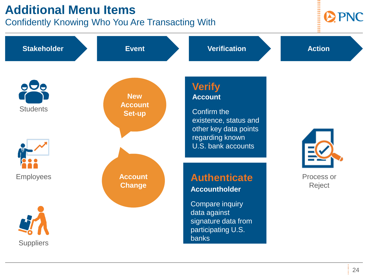## **Additional Menu Items**

Confidently Knowing Who You Are Transacting With



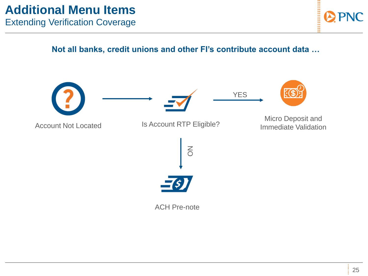**Not all banks, credit unions and other FI's contribute account data …**

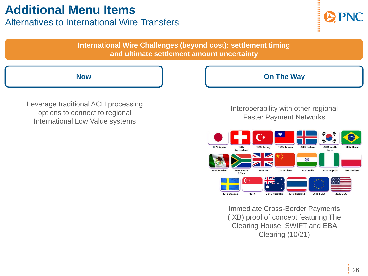### Alternatives to International Wire Transfers



**International Wire Challenges (beyond cost): settlement timing and ultimate settlement amount uncertainty**

Leverage traditional ACH processing options to connect to regional International Low Value systems

#### **Now Community Community Community Community Community Community Community Community Community Community Community Community Community Community Community Community Community Community Community Community Community Communi**

#### Interoperability with other regional Faster Payment Networks



Immediate Cross-Border Payments (IXB) proof of concept featuring The Clearing House, SWIFT and EBA Clearing (10/21)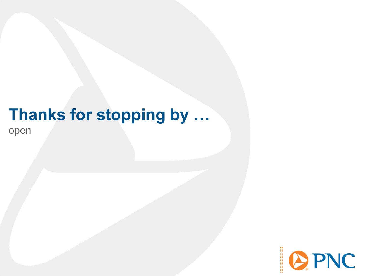## **Thanks for stopping by …** open

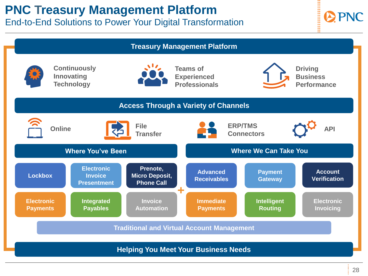## **PNC Treasury Management Platform**

End-to-End Solutions to Power Your Digital Transformation